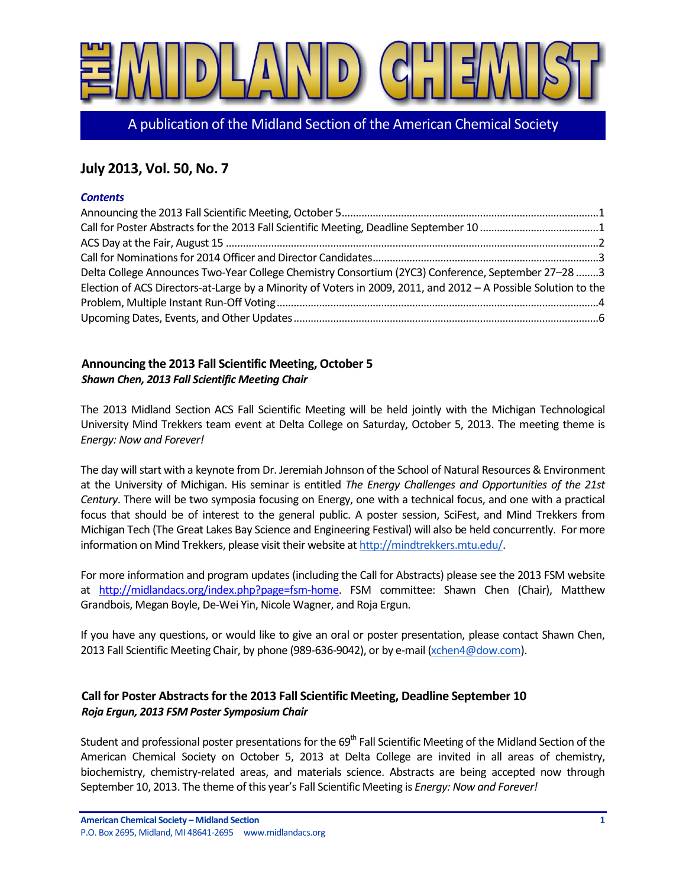

A publication of the Midland Section of the American Chemical Society

# **July 2013, Vol. 50, No. 7**

#### *Contents*

| Delta College Announces Two-Year College Chemistry Consortium (2YC3) Conference, September 27-28 3              |  |
|-----------------------------------------------------------------------------------------------------------------|--|
| Election of ACS Directors-at-Large by a Minority of Voters in 2009, 2011, and 2012 - A Possible Solution to the |  |
|                                                                                                                 |  |
|                                                                                                                 |  |

### <span id="page-0-0"></span>**Announcing the 2013 Fall Scientific Meeting, October 5** *Shawn Chen, 2013 Fall Scientific Meeting Chair*

The 2013 Midland Section ACS Fall Scientific Meeting will be held jointly with the Michigan Technological University Mind Trekkers team event at Delta College on Saturday, October 5, 2013. The meeting theme is *Energy: Now and Forever!*

The day will start with a keynote from Dr. Jeremiah Johnson of the School of Natural Resources & Environment at the University of Michigan. His seminar is entitled *The Energy Challenges and Opportunities of the 21st Century*. There will be two symposia focusing on Energy, one with a technical focus, and one with a practical focus that should be of interest to the general public. A poster session, SciFest, and Mind Trekkers from Michigan Tech (The Great Lakes Bay Science and Engineering Festival) will also be held concurrently. For more information on Mind Trekkers, please visit their website at http://mindtrekkers.mtu.edu/

For more information and program updates (including the Call for Abstracts) please see the 2013 FSM website at [http://midlandacs.org/index.php?page=fsm-home.](http://midlandacs.org/index.php?page=fsm-home) FSM committee: Shawn Chen (Chair), Matthew Grandbois, Megan Boyle, De-Wei Yin, Nicole Wagner, and Roja Ergun.

If you have any questions, or would like to give an oral or poster presentation, please contact Shawn Chen, 2013 Fall Scientific Meeting Chair, by phone (989-636-9042), or by e-mail [\(xchen4@dow.com\)](mailto:xchen4@dow.com).

## <span id="page-0-1"></span>**Call for Poster Abstracts for the 2013 Fall Scientific Meeting, Deadline September 10** *Roja Ergun, 2013 FSM Poster Symposium Chair*

Student and professional poster presentations for the 69<sup>th</sup> Fall Scientific Meeting of the Midland Section of the American Chemical Society on October 5, 2013 at Delta College are invited in all areas of chemistry, biochemistry, chemistry-related areas, and materials science. Abstracts are being accepted now through September 10, 2013. The theme of this year's Fall Scientific Meeting is *Energy: Now and Forever!*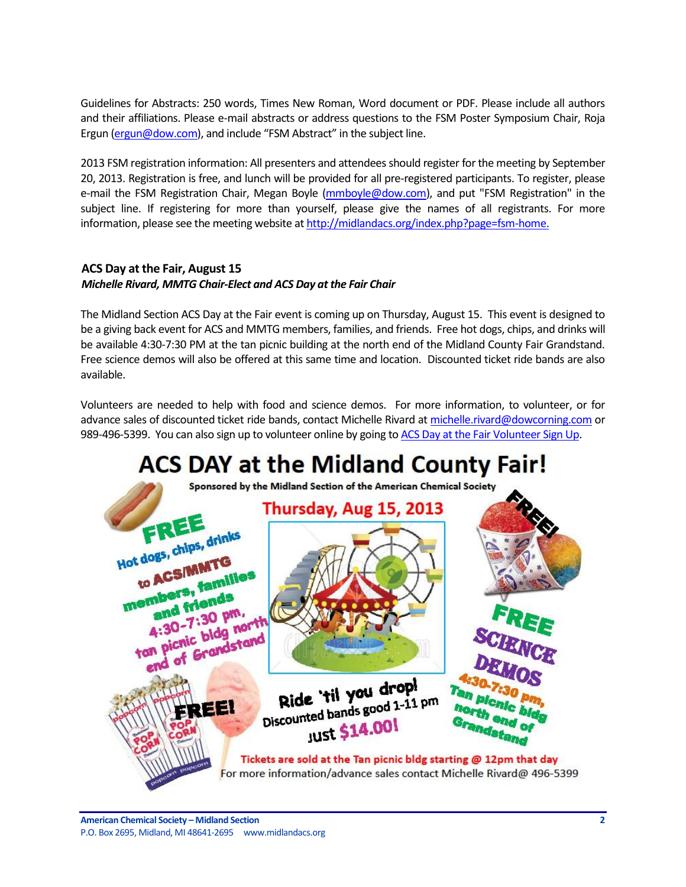Guidelines for Abstracts: 250 words, Times New Roman, Word document or PDF. Please include all authors and their affiliations. Please e-mail abstracts or address questions to the FSM Poster Symposium Chair, Roja Ergun [\(ergun@dow.com\)](mailto:ergun@dow.com), and include "FSM Abstract" in the subject line.

2013 FSM registration information: All presenters and attendees should register for the meeting by September 20, 2013. Registration is free, and lunch will be provided for all pre-registered participants. To register, please e-mail the FSM Registration Chair, Megan Boyle [\(mmboyle@dow.com\)](mailto:mmboyle@dow.com), and put "FSM Registration" in the subject line. If registering for more than yourself, please give the names of all registrants. For more information, please see the meeting website a[t http://midlandacs.org/index.php?page=fsm-home.](http://midlandacs.org/index.php?page=fsm-home)

### <span id="page-1-0"></span>**ACS Day at the Fair, August 15** *Michelle Rivard, MMTG Chair-Elect and ACS Day at the Fair Chair*

The Midland Section ACS Day at the Fair event is coming up on Thursday, August 15. This event is designed to be a giving back event for ACS and MMTG members, families, and friends. Free hot dogs, chips, and drinks will be available 4:30-7:30 PM at the tan picnic building at the north end of the Midland County Fair Grandstand. Free science demos will also be offered at this same time and location. Discounted ticket ride bands are also available.

Volunteers are needed to help with food and science demos. For more information, to volunteer, or for advance sales of discounted ticket ride bands, contact Michelle Rivard at [michelle.rivard@dowcorning.com](mailto:michelle.rivard@dowcorning.com) or 989-496-5399. You can also sign up to volunteer online by going to [ACS Day at the Fair Volunteer Sign Up.](http://www.signupgenius.com/go/70A054BADAA2EA20-acsday)

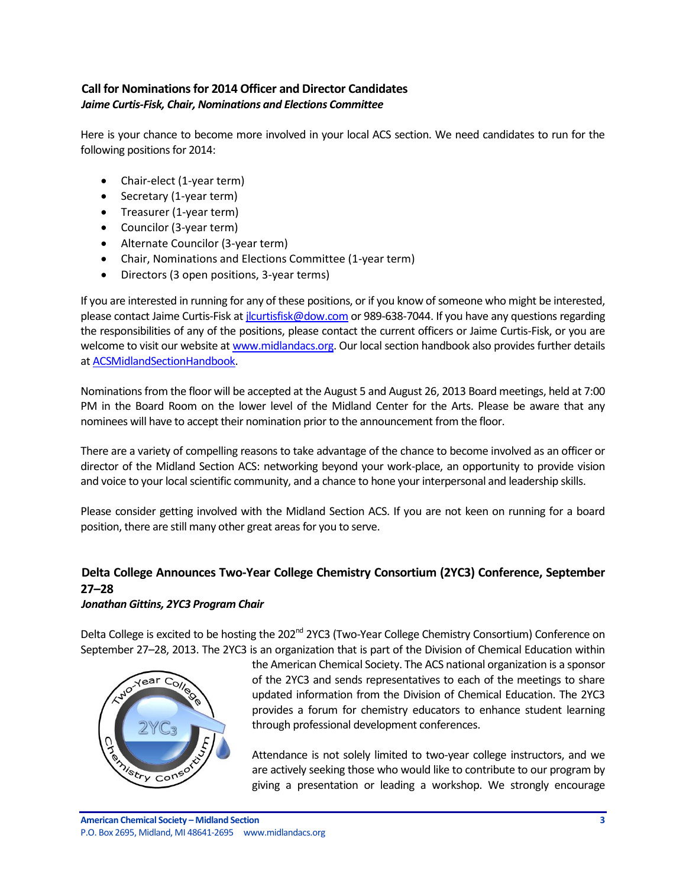## <span id="page-2-0"></span>**Call for Nominations for 2014 Officer and Director Candidates** *Jaime Curtis-Fisk, Chair, Nominations and Elections Committee*

Here is your chance to become more involved in your local ACS section. We need candidates to run for the following positions for 2014:

- Chair-elect (1-year term)
- Secretary (1-year term)
- Treasurer (1-year term)
- Councilor (3-year term)
- Alternate Councilor (3-year term)
- Chair, Nominations and Elections Committee (1-year term)
- Directors (3 open positions, 3-year terms)

If you are interested in running for any of these positions, or if you know of someone who might be interested, please contact Jaime Curtis-Fisk a[t jlcurtisfisk@dow.com](mailto:jlcurtisfisk@dow.com) or 989-638-7044. If you have any questions regarding the responsibilities of any of the positions, please contact the current officers or Jaime Curtis-Fisk, or you are welcome to visit our website a[t www.midlandacs.org.](http://www.midlandacs.org/) Our local section handbook also provides further details a[t ACSMidlandSectionHandbook.](http://midlandacs.org/uploads/images/administration/ACSMidlandSectionHandbook.pdf)

Nominations from the floor will be accepted at the August 5 and August 26, 2013 Board meetings, held at 7:00 PM in the Board Room on the lower level of the Midland Center for the Arts. Please be aware that any nominees will have to accept their nomination prior to the announcement from the floor.

There are a variety of compelling reasons to take advantage of the chance to become involved as an officer or director of the Midland Section ACS: networking beyond your work-place, an opportunity to provide vision and voice to your local scientific community, and a chance to hone your interpersonal and leadership skills.

Please consider getting involved with the Midland Section ACS. If you are not keen on running for a board position, there are still many other great areas for you to serve.

# <span id="page-2-1"></span>**Delta College Announces Two-Year College Chemistry Consortium (2YC3) Conference, September 27–28**

#### *Jonathan Gittins, 2YC3 Program Chair*

Delta College is excited to be hosting the 202<sup>nd</sup> 2YC3 (Two-Year College Chemistry Consortium) Conference on September 27–28, 2013. The 2YC3 is an organization that is part of the Division of Chemical Education within



the American Chemical Society. The ACS national organization is a sponsor of the 2YC3 and sends representatives to each of the meetings to share updated information from the Division of Chemical Education. The 2YC3 provides a forum for chemistry educators to enhance student learning through professional development conferences.

Attendance is not solely limited to two-year college instructors, and we are actively seeking those who would like to contribute to our program by giving a presentation or leading a workshop. We strongly encourage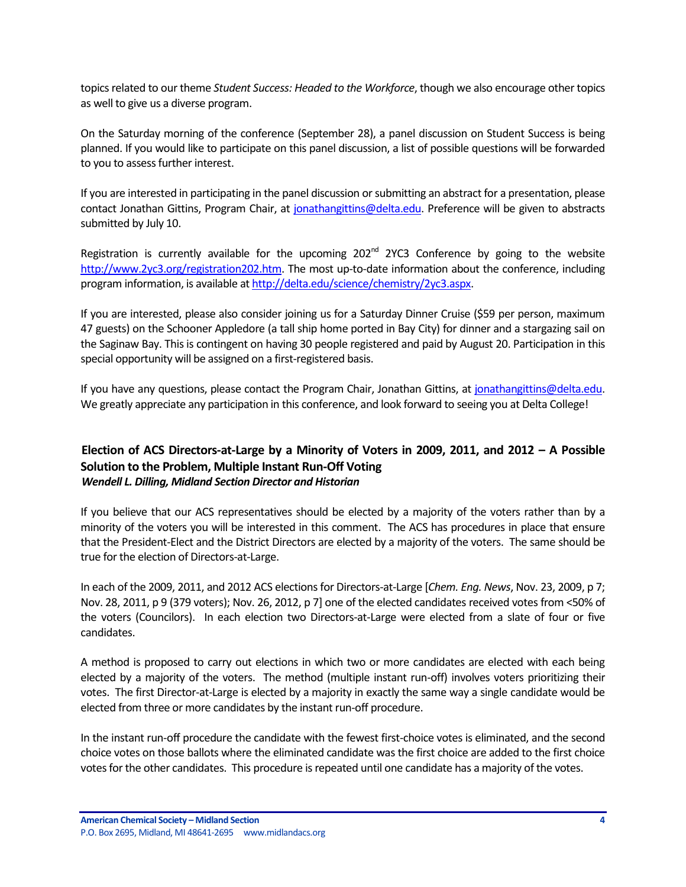topics related to our theme *Student Success: Headed to the Workforce*, though we also encourage other topics as well to give us a diverse program.

On the Saturday morning of the conference (September 28), a panel discussion on Student Success is being planned. If you would like to participate on this panel discussion, a list of possible questions will be forwarded to you to assess further interest.

If you are interested in participating in the panel discussion or submitting an abstract for a presentation, please contact Jonathan Gittins, Program Chair, at [jonathangittins@delta.edu.](mailto:jonathangittins@delta.edu) Preference will be given to abstracts submitted by July 10.

Registration is currently available for the upcoming 202<sup>nd</sup> 2YC3 Conference by going to the website [http://www.2yc3.org/registration202.htm.](http://www.2yc3.org/registration202.htm) The most up-to-date information about the conference, including program information, is available a[t http://delta.edu/science/chemistry/2yc3.aspx.](http://delta.edu/science/chemistry/2yc3.aspx)

If you are interested, please also consider joining us for a Saturday Dinner Cruise (\$59 per person, maximum 47 guests) on the Schooner Appledore (a tall ship home ported in Bay City) for dinner and a stargazing sail on the Saginaw Bay. This is contingent on having 30 people registered and paid by August 20. Participation in this special opportunity will be assigned on a first-registered basis.

If you have any questions, please contact the Program Chair, Jonathan Gittins, a[t jonathangittins@delta.edu.](mailto:jonathangittins@delta.edu) We greatly appreciate any participation in this conference, and look forward to seeing you at Delta College!

## <span id="page-3-0"></span>**Election of ACS Directors-at-Large by a Minority of Voters in 2009, 2011, and 2012 – A Possible Solution to the Problem, Multiple Instant Run-Off Voting** *Wendell L. Dilling, Midland Section Director and Historian*

If you believe that our ACS representatives should be elected by a majority of the voters rather than by a minority of the voters you will be interested in this comment. The ACS has procedures in place that ensure that the President-Elect and the District Directors are elected by a majority of the voters. The same should be true for the election of Directors-at-Large.

In each of the 2009, 2011, and 2012 ACS elections for Directors-at-Large [*Chem. Eng. News*, Nov. 23, 2009, p 7; Nov. 28, 2011, p 9 (379 voters); Nov. 26, 2012, p 7] one of the elected candidates received votes from <50% of the voters (Councilors). In each election two Directors-at-Large were elected from a slate of four or five candidates.

A method is proposed to carry out elections in which two or more candidates are elected with each being elected by a majority of the voters. The method (multiple instant run-off) involves voters prioritizing their votes. The first Director-at-Large is elected by a majority in exactly the same way a single candidate would be elected from three or more candidates by the instant run-off procedure.

In the instant run-off procedure the candidate with the fewest first-choice votes is eliminated, and the second choice votes on those ballots where the eliminated candidate was the first choice are added to the first choice votes for the other candidates. This procedure is repeated until one candidate has a majority of the votes.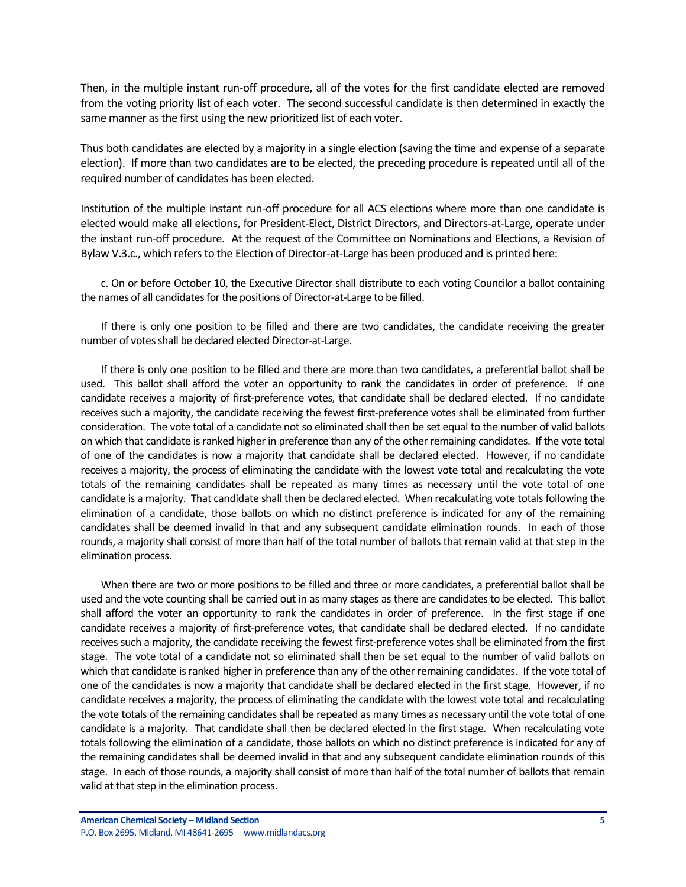Then, in the multiple instant run-off procedure, all of the votes for the first candidate elected are removed from the voting priority list of each voter. The second successful candidate is then determined in exactly the same manner as the first using the new prioritized list of each voter.

Thus both candidates are elected by a majority in a single election (saving the time and expense of a separate election). If more than two candidates are to be elected, the preceding procedure is repeated until all of the required number of candidates has been elected.

Institution of the multiple instant run-off procedure for all ACS elections where more than one candidate is elected would make all elections, for President-Elect, District Directors, and Directors-at-Large, operate under the instant run-off procedure. At the request of the Committee on Nominations and Elections, a Revision of Bylaw V.3.c., which refers to the Election of Director-at-Large has been produced and is printed here:

c. On or before October 10, the Executive Director shall distribute to each voting Councilor a ballot containing the names of all candidates for the positions of Director-at-Large to be filled.

If there is only one position to be filled and there are two candidates, the candidate receiving the greater number of votes shall be declared elected Director-at-Large.

If there is only one position to be filled and there are more than two candidates, a preferential ballot shall be used. This ballot shall afford the voter an opportunity to rank the candidates in order of preference. If one candidate receives a majority of first-preference votes, that candidate shall be declared elected. If no candidate receives such a majority, the candidate receiving the fewest first-preference votes shall be eliminated from further consideration. The vote total of a candidate not so eliminated shall then be set equal to the number of valid ballots on which that candidate is ranked higher in preference than any of the other remaining candidates. If the vote total of one of the candidates is now a majority that candidate shall be declared elected. However, if no candidate receives a majority, the process of eliminating the candidate with the lowest vote total and recalculating the vote totals of the remaining candidates shall be repeated as many times as necessary until the vote total of one candidate is a majority. That candidate shall then be declared elected. When recalculating vote totals following the elimination of a candidate, those ballots on which no distinct preference is indicated for any of the remaining candidates shall be deemed invalid in that and any subsequent candidate elimination rounds. In each of those rounds, a majority shall consist of more than half of the total number of ballots that remain valid at that step in the elimination process.

When there are two or more positions to be filled and three or more candidates, a preferential ballot shall be used and the vote counting shall be carried out in as many stages as there are candidates to be elected. This ballot shall afford the voter an opportunity to rank the candidates in order of preference. In the first stage if one candidate receives a majority of first-preference votes, that candidate shall be declared elected. If no candidate receives such a majority, the candidate receiving the fewest first-preference votes shall be eliminated from the first stage. The vote total of a candidate not so eliminated shall then be set equal to the number of valid ballots on which that candidate is ranked higher in preference than any of the other remaining candidates. If the vote total of one of the candidates is now a majority that candidate shall be declared elected in the first stage. However, if no candidate receives a majority, the process of eliminating the candidate with the lowest vote total and recalculating the vote totals of the remaining candidates shall be repeated as many times as necessary until the vote total of one candidate is a majority. That candidate shall then be declared elected in the first stage. When recalculating vote totals following the elimination of a candidate, those ballots on which no distinct preference is indicated for any of the remaining candidates shall be deemed invalid in that and any subsequent candidate elimination rounds of this stage. In each of those rounds, a majority shall consist of more than half of the total number of ballots that remain valid at that step in the elimination process.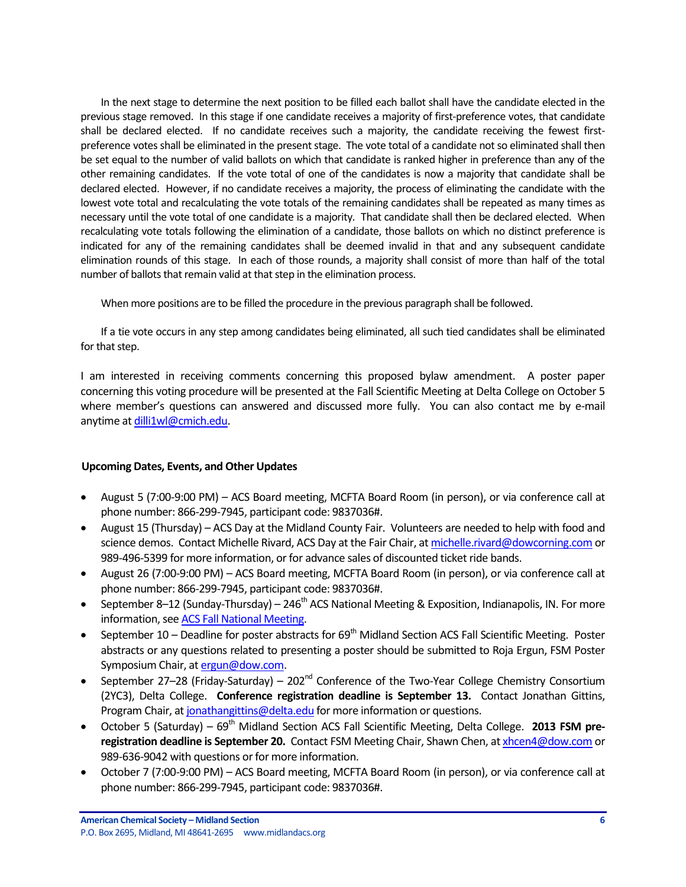In the next stage to determine the next position to be filled each ballot shall have the candidate elected in the previous stage removed. In this stage if one candidate receives a majority of first-preference votes, that candidate shall be declared elected. If no candidate receives such a majority, the candidate receiving the fewest firstpreference votes shall be eliminated in the present stage. The vote total of a candidate notso eliminated shall then be set equal to the number of valid ballots on which that candidate is ranked higher in preference than any of the other remaining candidates. If the vote total of one of the candidates is now a majority that candidate shall be declared elected. However, if no candidate receives a majority, the process of eliminating the candidate with the lowest vote total and recalculating the vote totals of the remaining candidates shall be repeated as many times as necessary until the vote total of one candidate is a majority. That candidate shall then be declared elected. When recalculating vote totals following the elimination of a candidate, those ballots on which no distinct preference is indicated for any of the remaining candidates shall be deemed invalid in that and any subsequent candidate elimination rounds of this stage. In each of those rounds, a majority shall consist of more than half of the total number of ballots that remain valid at that step in the elimination process.

When more positions are to be filled the procedure in the previous paragraph shall be followed.

If a tie vote occurs in any step among candidates being eliminated, all such tied candidates shall be eliminated for that step.

I am interested in receiving comments concerning this proposed bylaw amendment. A poster paper concerning this voting procedure will be presented at the Fall Scientific Meeting at Delta College on October 5 where member's questions can answered and discussed more fully. You can also contact me by e-mail anytime a[t dilli1wl@cmich.edu.](mailto:dilli1wl@cmich.edu)

#### <span id="page-5-0"></span>**Upcoming Dates, Events, and Other Updates**

- August 5 (7:00-9:00 PM) ACS Board meeting, MCFTA Board Room (in person), or via conference call at phone number: 866-299-7945, participant code: 9837036#.
- August 15 (Thursday) ACS Day at the Midland County Fair. Volunteers are needed to help with food and science demos. Contact Michelle Rivard, ACS Day at the Fair Chair, a[t michelle.rivard@dowcorning.com](mailto:michelle.rivard@dowcorning.com) or 989-496-5399 for more information, or for advance sales of discounted ticket ride bands.
- August 26 (7:00-9:00 PM) ACS Board meeting, MCFTA Board Room (in person), or via conference call at phone number: 866-299-7945, participant code: 9837036#.
- September 8–12 (Sunday-Thursday) 246<sup>th</sup> ACS National Meeting & Exposition, Indianapolis, IN. For more information, see [ACS Fall National Meeting.](http://portal.acs.org/portal/acs/corg/content?_nfpb=true&_pageLabel=PP_SUPERARTICLE&node_id=1051&use_sec=false&sec_url_var=region1)
- September 10 Deadline for poster abstracts for  $69<sup>th</sup>$  Midland Section ACS Fall Scientific Meeting. Poster abstracts or any questions related to presenting a poster should be submitted to Roja Ergun, FSM Poster Symposium Chair, a[t ergun@dow.com.](mailto:ergun@dow.com)
- September 27–28 (Friday-Saturday) 202<sup>nd</sup> Conference of the Two-Year College Chemistry Consortium (2YC3), Delta College. **Conference registration deadline is September 13.** Contact Jonathan Gittins, Program Chair, a[t jonathangittins@delta.edu](mailto:jonathangittins@delta.edu) for more information or questions.
- October 5 (Saturday) 69<sup>th</sup> Midland Section ACS Fall Scientific Meeting, Delta College. **2013 FSM preregistration deadline is September 20.** Contact FSM Meeting Chair, Shawn Chen, at [xhcen4@dow.com](mailto:xhcen4@dow.com) or 989-636-9042 with questions or for more information.
- October 7 (7:00-9:00 PM) ACS Board meeting, MCFTA Board Room (in person), or via conference call at phone number: 866-299-7945, participant code: 9837036#.